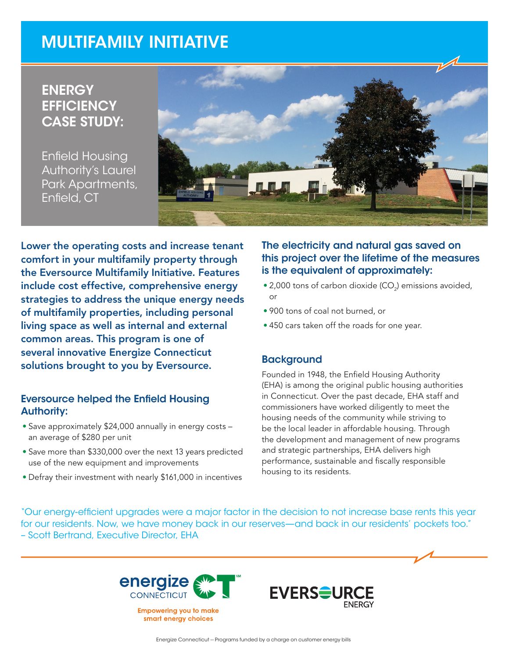# MULTIFAMILY INITIATIVE

# **ENERGY EFFICIENCY** CASE STUDY:

Enfield Housing Authority's Laurel Park Apartments, Enfield, CT



Lower the operating costs and increase tenant comfort in your multifamily property through the Eversource Multifamily Initiative. Features include cost effective, comprehensive energy strategies to address the unique energy needs of multifamily properties, including personal living space as well as internal and external common areas. This program is one of several innovative Energize Connecticut solutions brought to you by Eversource.

#### Eversource helped the Enfield Housing Authority:

- Save approximately \$24,000 annually in energy costs an average of \$280 per unit
- Save more than \$330,000 over the next 13 years predicted use of the new equipment and improvements
- Defray their investment with nearly \$161,000 in incentives

## The electricity and natural gas saved on this project over the lifetime of the measures is the equivalent of approximately:

- $\bullet$  2,000 tons of carbon dioxide (CO<sub>2</sub>) emissions avoided, or
- 900 tons of coal not burned, or
- 450 cars taken off the roads for one year.

### **Background**

Founded in 1948, the Enfield Housing Authority (EHA) is among the original public housing authorities in Connecticut. Over the past decade, EHA staff and commissioners have worked diligently to meet the housing needs of the community while striving to be the local leader in affordable housing. Through the development and management of new programs and strategic partnerships, EHA delivers high performance, sustainable and fiscally responsible housing to its residents.

"Our energy-efficient upgrades were a major factor in the decision to not increase base rents this year for our residents. Now, we have money back in our reserves—and back in our residents' pockets too." – Scott Bertrand, Executive Director, EHA



smart energy choices